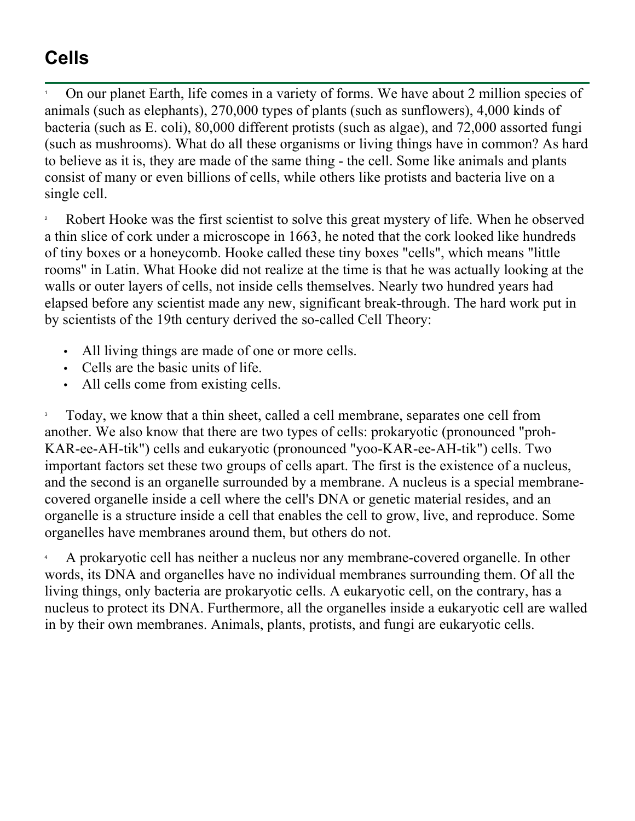## **Cells**

1 On our planet Earth, life comes in a variety of forms. We have about 2 million species of animals (such as elephants), 270,000 types of plants (such as sunflowers), 4,000 kinds of bacteria (such as E. coli), 80,000 different protists (such as algae), and 72,000 assorted fungi (such as mushrooms). What do all these organisms or living things have in common? As hard to believe as it is, they are made of the same thing - the cell. Some like animals and plants consist of many or even billions of cells, while others like protists and bacteria live on a single cell.

2 Robert Hooke was the first scientist to solve this great mystery of life. When he observed a thin slice of cork under a microscope in 1663, he noted that the cork looked like hundreds of tiny boxes or a honeycomb. Hooke called these tiny boxes "cells", which means "little rooms" in Latin. What Hooke did not realize at the time is that he was actually looking at the walls or outer layers of cells, not inside cells themselves. Nearly two hundred years had elapsed before any scientist made any new, significant break-through. The hard work put in by scientists of the 19th century derived the so-called Cell Theory:

- All living things are made of one or more cells.
- Cells are the basic units of life.
- All cells come from existing cells.

3 Today, we know that a thin sheet, called a cell membrane, separates one cell from another. We also know that there are two types of cells: prokaryotic (pronounced "proh-KAR-ee-AH-tik") cells and eukaryotic (pronounced "yoo-KAR-ee-AH-tik") cells. Two important factors set these two groups of cells apart. The first is the existence of a nucleus, and the second is an organelle surrounded by a membrane. A nucleus is a special membranecovered organelle inside a cell where the cell's DNA or genetic material resides, and an organelle is a structure inside a cell that enables the cell to grow, live, and reproduce. Some organelles have membranes around them, but others do not.

4 A prokaryotic cell has neither a nucleus nor any membrane-covered organelle. In other words, its DNA and organelles have no individual membranes surrounding them. Of all the living things, only bacteria are prokaryotic cells. A eukaryotic cell, on the contrary, has a nucleus to protect its DNA. Furthermore, all the organelles inside a eukaryotic cell are walled in by their own membranes. Animals, plants, protists, and fungi are eukaryotic cells.